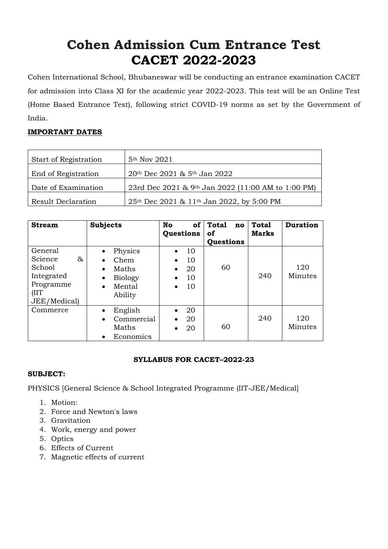# **Cohen Admission Cum Entrance Test CACET 2022-2023**

Cohen International School, Bhubaneswar will be conducting an entrance examination CACET for admission into Class XI for the academic year 2022-2023. This test will be an Online Test (Home Based Entrance Test), following strict COVID-19 norms as set by the Government of India.

# **IMPORTANT DATES**

| Start of Registration     | 5 <sup>th</sup> Nov 2021                           |
|---------------------------|----------------------------------------------------|
| End of Registration       | 20th Dec 2021 & 5th Jan 2022                       |
| Date of Examination       | 23rd Dec 2021 & 9th Jan 2022 (11:00 AM to 1:00 PM) |
| <b>Result Declaration</b> | 25th Dec 2021 & 11th Jan 2022, by 5:00 PM          |

| <b>Stream</b>                                                                         | <b>Subjects</b>                                                                                                     | <b>No</b><br><b>of</b><br>Questions                                                         | <b>Total</b><br>no<br>of<br>Questions | <b>Total</b><br><b>Marks</b> | <b>Duration</b> |
|---------------------------------------------------------------------------------------|---------------------------------------------------------------------------------------------------------------------|---------------------------------------------------------------------------------------------|---------------------------------------|------------------------------|-----------------|
| General<br>Science<br>&<br>School<br>Integrated<br>Programme<br>(IIT)<br>JEE/Medical) | Physics<br>Chem<br>$\bullet$<br>Maths<br>$\bullet$<br><b>Biology</b><br>$\bullet$<br>Mental<br>$\bullet$<br>Ability | 10<br>$\bullet$<br>10<br>$\bullet$<br>20<br>$\bullet$<br>10<br>$\bullet$<br>10<br>$\bullet$ | 60                                    | 240                          | 120<br>Minutes  |
| Commerce                                                                              | English<br>$\bullet$<br>Commercial<br>$\bullet$<br>Maths<br>Economics<br>$\bullet$                                  | 20<br>$\bullet$<br>20<br>$\bullet$<br>20<br>$\bullet$                                       | 60                                    | 240                          | 120<br>Minutes  |

### **SYLLABUS FOR CACET–2022-23**

### **SUBJECT:**

PHYSICS [General Science & School Integrated Programme (IIT-JEE/Medical]

- 1. Motion:
- 2. Force and Newton's laws
- 3. Gravitation
- 4. Work, energy and power
- 5. Optics
- 6. Effects of Current
- 7. Magnetic effects of current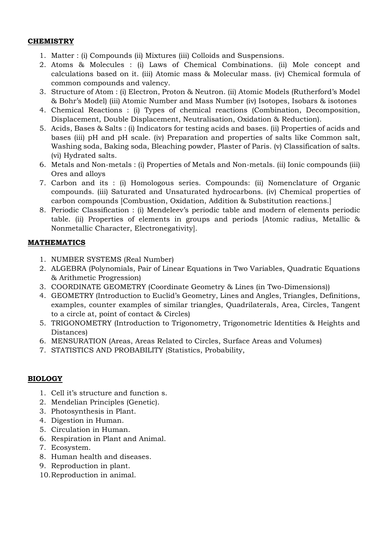#### **CHEMISTRY**

- 1. Matter : (i) Compounds (ii) Mixtures (iii) Colloids and Suspensions.
- 2. Atoms & Molecules : (i) Laws of Chemical Combinations. (ii) Mole concept and calculations based on it. (iii) Atomic mass & Molecular mass. (iv) Chemical formula of common compounds and valency.
- 3. Structure of Atom : (i) Electron, Proton & Neutron. (ii) Atomic Models (Rutherford's Model & Bohr's Model) (iii) Atomic Number and Mass Number (iv) Isotopes, Isobars & isotones
- 4. Chemical Reactions : (i) Types of chemical reactions (Combination, Decomposition, Displacement, Double Displacement, Neutralisation, Oxidation & Reduction).
- 5. Acids, Bases & Salts : (i) Indicators for testing acids and bases. (ii) Properties of acids and bases (iii) pH and pH scale. (iv) Preparation and properties of salts like Common salt, Washing soda, Baking soda, Bleaching powder, Plaster of Paris. (v) Classification of salts. (vi) Hydrated salts.
- 6. Metals and Non-metals : (i) Properties of Metals and Non-metals. (ii) Ionic compounds (iii) Ores and alloys
- 7. Carbon and its : (i) Homologous series. Compounds: (ii) Nomenclature of Organic compounds. (iii) Saturated and Unsaturated hydrocarbons. (iv) Chemical properties of carbon compounds [Combustion, Oxidation, Addition & Substitution reactions.]
- 8. Periodic Classification : (i) Mendeleev's periodic table and modern of elements periodic table. (ii) Properties of elements in groups and periods [Atomic radius, Metallic & Nonmetallic Character, Electronegativity].

### **MATHEMATICS**

- 1. NUMBER SYSTEMS (Real Number)
- 2. ALGEBRA (Polynomials, Pair of Linear Equations in Two Variables, Quadratic Equations & Arithmetic Progression)
- 3. COORDINATE GEOMETRY (Coordinate Geometry & Lines (in Two-Dimensions))
- 4. GEOMETRY (Introduction to Euclid's Geometry, Lines and Angles, Triangles, Definitions, examples, counter examples of similar triangles, Quadrilaterals, Area, Circles, Tangent to a circle at, point of contact & Circles)
- 5. TRIGONOMETRY (Introduction to Trigonometry, Trigonometric Identities & Heights and Distances)
- 6. MENSURATION (Areas, Areas Related to Circles, Surface Areas and Volumes)
- 7. STATISTICS AND PROBABILITY (Statistics, Probability,

### **BIOLOGY**

- 1. Cell it's structure and function s.
- 2. Mendelian Principles (Genetic).
- 3. Photosynthesis in Plant.
- 4. Digestion in Human.
- 5. Circulation in Human.
- 6. Respiration in Plant and Animal.
- 7. Ecosystem.
- 8. Human health and diseases.
- 9. Reproduction in plant.
- 10.Reproduction in animal.